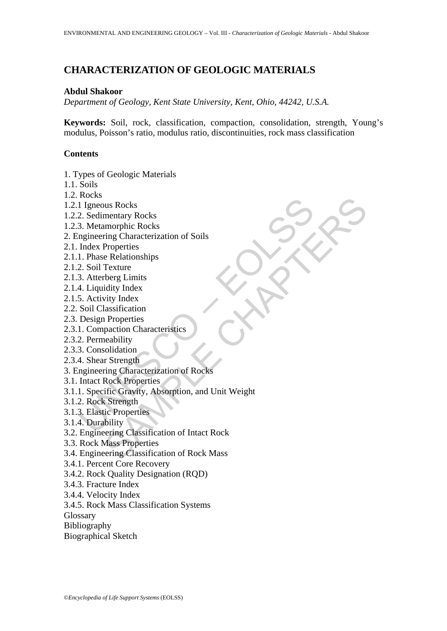# **CHARACTERIZATION OF GEOLOGIC MATERIALS**

## **Abdul Shakoor**

*Department of Geology, Kent State University, Kent, Ohio, 44242, U.S.A.* 

**Keywords:** Soil, rock, classification, compaction, consolidation, strength, Young's modulus, Poisson's ratio, modulus ratio, discontinuities, rock mass classification

## **Contents**

1. Types of Geologic Materials

- 1.1. Soils
- 1.2. Rocks
- 1.2.1 Igneous Rocks
- 1.2.2. Sedimentary Rocks
- 1.2.3. Metamorphic Rocks
- 2. Engineering Characterization of Soils
- 2.1. Index Properties
- 2.1.1. Phase Relationships
- 2.1.2. Soil Texture
- 2.1.3. Atterberg Limits
- 2.1.4. Liquidity Index
- 2.1.5. Activity Index
- 2.2. Soil Classification
- 2.3. Design Properties
- 2.3.1. Compaction Characteristics
- 2.3.2. Permeability
- 2.3.3. Consolidation
- 2.3.4. Shear Strength
- 3. Engineering Characterization of Rocks
- 3.1. Intact Rock Properties
- To<br>
1 Igneous Rocks<br>
2. Sedimentary Rocks<br>
3. Metamorphic Rocks<br>
mgineering Characterization of Soils<br>
In Phae Relationships<br>
1. Phae Relationships<br>
2. Soil Texture<br>
3. Atterberg Limits<br>
4. Liquidity Index<br>
5. Activity Ind ous Rocks<br>
mentary Rocks<br>
mentary Rocks<br>
morphic Rocks<br>
Properties<br>
Properties<br>
e Relationships<br>
Properties<br>
e Relationships<br>
idity Index<br>
vity Index<br>
vity Index<br>
wity Index<br>
mentarity, and Diricus Characterization<br>
or Str 3.1.1. Specific Gravity, Absorption, and Unit Weight
- 3.1.2. Rock Strength
- 3.1.3. Elastic Properties
- 3.1.4. Durability
- 3.2. Engineering Classification of Intact Rock
- 3.3. Rock Mass Properties
- 3.4. Engineering Classification of Rock Mass
- 3.4.1. Percent Core Recovery
- 3.4.2. Rock Quality Designation (RQD)
- 3.4.3. Fracture Index
- 3.4.4. Velocity Index
- 3.4.5. Rock Mass Classification Systems

Glossary

Bibliography

Biographical Sketch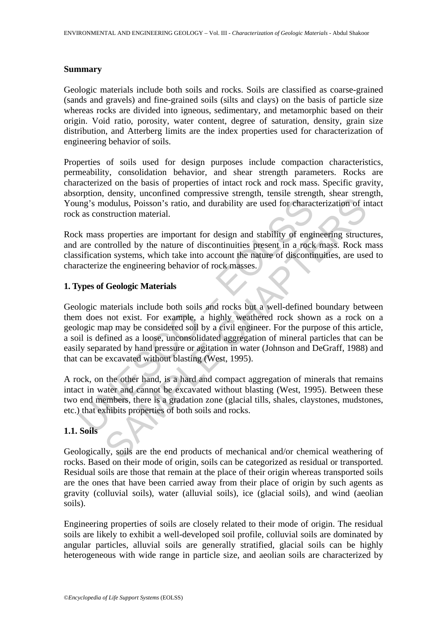### **Summary**

Geologic materials include both soils and rocks. Soils are classified as coarse-grained (sands and gravels) and fine-grained soils (silts and clays) on the basis of particle size whereas rocks are divided into igneous, sedimentary, and metamorphic based on their origin. Void ratio, porosity, water content, degree of saturation, density, grain size distribution, and Atterberg limits are the index properties used for characterization of engineering behavior of soils.

Properties of soils used for design purposes include compaction characteristics, permeability, consolidation behavior, and shear strength parameters. Rocks are characterized on the basis of properties of intact rock and rock mass. Specific gravity, absorption, density, unconfined compressive strength, tensile strength, shear strength, Young's modulus, Poisson's ratio, and durability are used for characterization of intact rock as construction material.

Rock mass properties are important for design and stability of engineering structures, and are controlled by the nature of discontinuities present in a rock mass. Rock mass classification systems, which take into account the nature of discontinuities, are used to characterize the engineering behavior of rock masses.

## **1. Types of Geologic Materials**

Ing's modulus, Poisson's ratio, and durability are used for charactering's modulus, Poisson's ratio, and durability are used for characterize as construction material.<br>
K mass properties are important for design and stabil indulus, Poisson's ratio, and durability are used for characterization of in<br>struction material.<br>properties are important for design and stability of engineering struct<br>through by the nature of discontinuities present in a Geologic materials include both soils and rocks but a well-defined boundary between them does not exist. For example, a highly weathered rock shown as a rock on a geologic map may be considered soil by a civil engineer. For the purpose of this article, a soil is defined as a loose, unconsolidated aggregation of mineral particles that can be easily separated by hand pressure or agitation in water (Johnson and DeGraff, 1988) and that can be excavated without blasting (West, 1995).

A rock, on the other hand, is a hard and compact aggregation of minerals that remains intact in water and cannot be excavated without blasting (West, 1995). Between these two end members, there is a gradation zone (glacial tills, shales, claystones, mudstones, etc.) that exhibits properties of both soils and rocks.

## **1.1. Soils**

Geologically, soils are the end products of mechanical and/or chemical weathering of rocks. Based on their mode of origin, soils can be categorized as residual or transported. Residual soils are those that remain at the place of their origin whereas transported soils are the ones that have been carried away from their place of origin by such agents as gravity (colluvial soils), water (alluvial soils), ice (glacial soils), and wind (aeolian soils).

Engineering properties of soils are closely related to their mode of origin. The residual soils are likely to exhibit a well-developed soil profile, colluvial soils are dominated by angular particles, alluvial soils are generally stratified, glacial soils can be highly heterogeneous with wide range in particle size, and aeolian soils are characterized by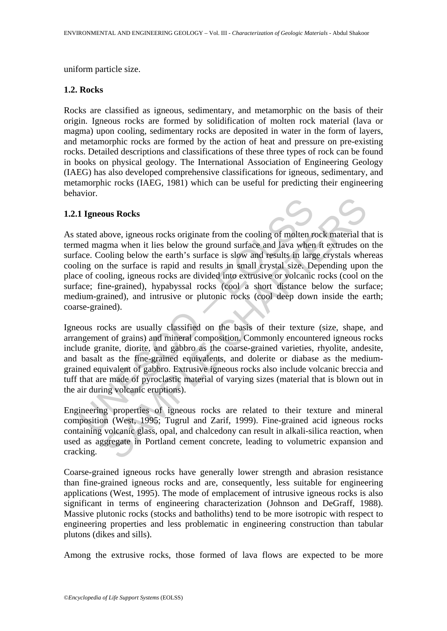uniform particle size.

## **1.2. Rocks**

Rocks are classified as igneous, sedimentary, and metamorphic on the basis of their origin. Igneous rocks are formed by solidification of molten rock material (lava or magma) upon cooling, sedimentary rocks are deposited in water in the form of layers, and metamorphic rocks are formed by the action of heat and pressure on pre-existing rocks. Detailed descriptions and classifications of these three types of rock can be found in books on physical geology. The International Association of Engineering Geology (IAEG) has also developed comprehensive classifications for igneous, sedimentary, and metamorphic rocks (IAEG, 1981) which can be useful for predicting their engineering behavior.

## **1.2.1 Igneous Rocks**

1 Igneous Rocks<br>
stated above, igneous rocks originate from the cooling of molten re<br>
ed magma when it lies below the ground surface and lava when<br>
eace. Cooling below the earth's surface is slow and results in larging<br>
on bove, igneous rocks originate from the cooling of molten rock material th<br>gma when it lies below the ground surface and lava when it extrudes on<br>onling below the earth's surface is slow and results in large crystals whe<br>th As stated above, igneous rocks originate from the cooling of molten rock material that is termed magma when it lies below the ground surface and lava when it extrudes on the surface. Cooling below the earth's surface is slow and results in large crystals whereas cooling on the surface is rapid and results in small crystal size. Depending upon the place of cooling, igneous rocks are divided into extrusive or volcanic rocks (cool on the surface; fine-grained), hypabyssal rocks (cool a short distance below the surface; medium-grained), and intrusive or plutonic rocks (cool deep down inside the earth; coarse-grained).

Igneous rocks are usually classified on the basis of their texture (size, shape, and arrangement of grains) and mineral composition. Commonly encountered igneous rocks include granite, diorite, and gabbro as the coarse-grained varieties, rhyolite, andesite, and basalt as the fine-grained equivalents, and dolerite or diabase as the mediumgrained equivalent of gabbro. Extrusive igneous rocks also include volcanic breccia and tuff that are made of pyroclastic material of varying sizes (material that is blown out in the air during volcanic eruptions).

Engineering properties of igneous rocks are related to their texture and mineral composition (West, 1995; Tugrul and Zarif, 1999). Fine-grained acid igneous rocks containing volcanic glass, opal, and chalcedony can result in alkali-silica reaction, when used as aggregate in Portland cement concrete, leading to volumetric expansion and cracking.

Coarse-grained igneous rocks have generally lower strength and abrasion resistance than fine-grained igneous rocks and are, consequently, less suitable for engineering applications (West, 1995). The mode of emplacement of intrusive igneous rocks is also significant in terms of engineering characterization (Johnson and DeGraff, 1988). Massive plutonic rocks (stocks and batholiths) tend to be more isotropic with respect to engineering properties and less problematic in engineering construction than tabular plutons (dikes and sills).

Among the extrusive rocks, those formed of lava flows are expected to be more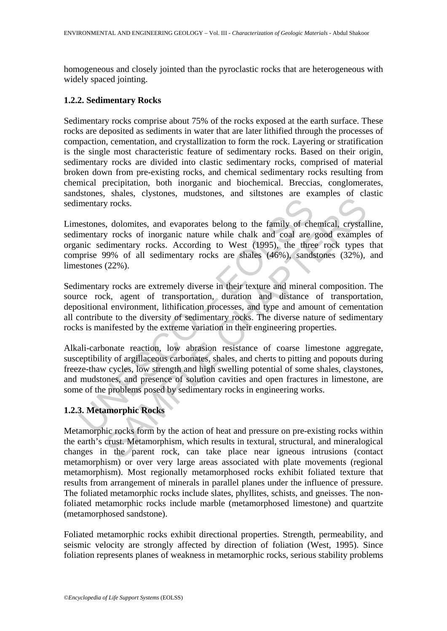homogeneous and closely jointed than the pyroclastic rocks that are heterogeneous with widely spaced jointing.

## **1.2.2. Sedimentary Rocks**

Sedimentary rocks comprise about 75% of the rocks exposed at the earth surface. These rocks are deposited as sediments in water that are later lithified through the processes of compaction, cementation, and crystallization to form the rock. Layering or stratification is the single most characteristic feature of sedimentary rocks. Based on their origin, sedimentary rocks are divided into clastic sedimentary rocks, comprised of material broken down from pre-existing rocks, and chemical sedimentary rocks resulting from chemical precipitation, both inorganic and biochemical. Breccias, conglomerates, sandstones, shales, clystones, mudstones, and siltstones are examples of clastic sedimentary rocks.

Limestones, dolomites, and evaporates belong to the family of chemical, crystalline, sedimentary rocks of inorganic nature while chalk and coal are good examples of organic sedimentary rocks. According to West (1995), the three rock types that comprise 99% of all sedimentary rocks are shales (46%), sandstones (32%), and limestones (22%).

Sedimentary rocks are extremely diverse in their texture and mineral composition. The source rock, agent of transportation, duration and distance of transportation, depositional environment, lithification processes, and type and amount of cementation all contribute to the diversity of sedimentary rocks. The diverse nature of sedimentary rocks is manifested by the extreme variation in their engineering properties.

mentary rocks.<br>
estones, dolomites, and evaporates belong to the family of chementary rocks of inorganic nature while chalk and coal are<br>
minic sedimentary rocks. According to West (1995), the three<br>
piprise 99% of all sed by rocks.<br>
Solomites, and evaporates belong to the family of chemical, crystal<br>
y rocks of inorganic nature while chalk and coal are good example<br>
dimentary rocks. According to West (1995), the three rock types<br>
99% of al Alkali-carbonate reaction, low abrasion resistance of coarse limestone aggregate, susceptibility of argillaceous carbonates, shales, and cherts to pitting and popouts during freeze-thaw cycles, low strength and high swelling potential of some shales, claystones, and mudstones, and presence of solution cavities and open fractures in limestone, are some of the problems posed by sedimentary rocks in engineering works.

## **1.2.3. Metamorphic Rocks**

Metamorphic rocks form by the action of heat and pressure on pre-existing rocks within the earth's crust. Metamorphism, which results in textural, structural, and mineralogical changes in the parent rock, can take place near igneous intrusions (contact metamorphism) or over very large areas associated with plate movements (regional metamorphism). Most regionally metamorphosed rocks exhibit foliated texture that results from arrangement of minerals in parallel planes under the influence of pressure. The foliated metamorphic rocks include slates, phyllites, schists, and gneisses. The nonfoliated metamorphic rocks include marble (metamorphosed limestone) and quartzite (metamorphosed sandstone).

Foliated metamorphic rocks exhibit directional properties. Strength, permeability, and seismic velocity are strongly affected by direction of foliation (West, 1995). Since foliation represents planes of weakness in metamorphic rocks, serious stability problems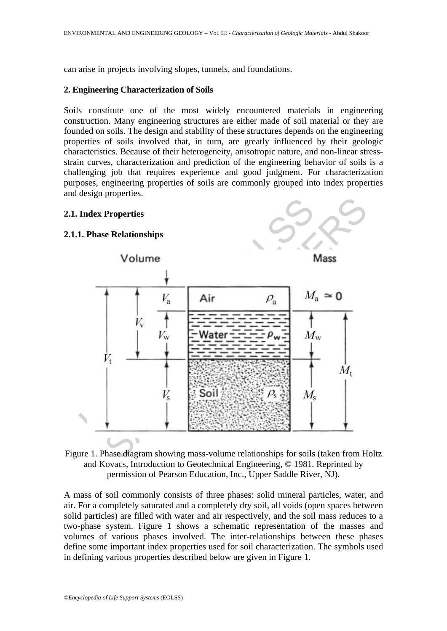can arise in projects involving slopes, tunnels, and foundations.

## **2. Engineering Characterization of Soils**

Soils constitute one of the most widely encountered materials in engineering construction. Many engineering structures are either made of soil material or they are founded on soils. The design and stability of these structures depends on the engineering properties of soils involved that, in turn, are greatly influenced by their geologic characteristics. Because of their heterogeneity, anisotropic nature, and non-linear stressstrain curves, characterization and prediction of the engineering behavior of soils is a challenging job that requires experience and good judgment. For characterization purposes, engineering properties of soils are commonly grouped into index properties and design properties.

#### **2.1. Index Properties**

#### **2.1.1. Phase Relationships**





A mass of soil commonly consists of three phases: solid mineral particles, water, and air. For a completely saturated and a completely dry soil, all voids (open spaces between solid particles) are filled with water and air respectively, and the soil mass reduces to a two-phase system. Figure 1 shows a schematic representation of the masses and volumes of various phases involved. The inter-relationships between these phases define some important index properties used for soil characterization. The symbols used in defining various properties described below are given in Figure 1.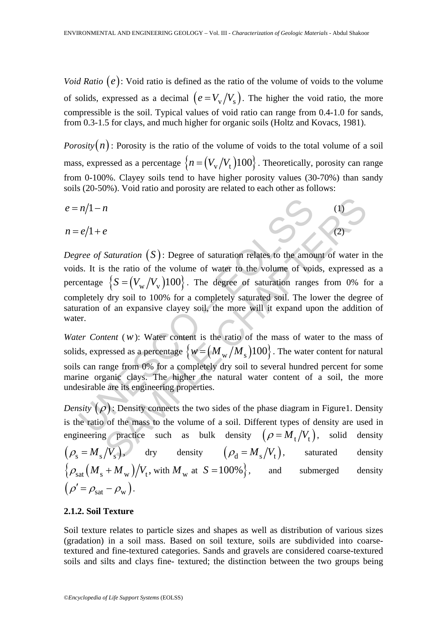*Void Ratio*  $(e)$ : Void ratio is defined as the ratio of the volume of voids to the volume of solids, expressed as a decimal  $(e = V_v / V_s)$ . The higher the void ratio, the more compressible is the soil. Typical values of void ratio can range from 0.4-1.0 for sands, from 0.3-1.5 for clays, and much higher for organic soils (Holtz and Kovacs, 1981).

*Porosity* $(n)$ : Porosity is the ratio of the volume of voids to the total volume of a soil mass, expressed as a percentage  $\{n = (V_v/V_t)100\}$ . Theoretically, porosity can range from 0-100%. Clayey soils tend to have higher porosity values (30-70%) than sandy soils (20-50%). Void ratio and porosity are related to each other as follows:

$$
e = n/1 - n
$$
\n
$$
n = e/1 + e
$$
\n(1)

 $n/1-n$ <br>  $e/1+e$ <br>  $ee$  of Saturation (S): Degree of saturation relates to the amots<br>
ls. It is the ratio of the volume of water to the volume of voicentage  $\{S = (V_w/V_v)100\}$ . The degree of saturation range<br>
pletely dry soil *saturation* (*S*): Degree of saturation relates to the amount of water in<br>the ratio of the volume of water to the volume of voids, expressed<br> $S = (V_w/V_v)100$ . The degree of saturation ranges from 0% for<br>dry soil to 100% for *Degree of Saturation*  $(S)$ : Degree of saturation relates to the amount of water in the voids. It is the ratio of the volume of water to the volume of voids, expressed as a percentage  $\{S = (V_w/V_v)100\}$ . The degree of saturation ranges from 0% for a completely dry soil to 100% for a completely saturated soil. The lower the degree of saturation of an expansive clayey soil, the more will it expand upon the addition of water.

*Water Content* (*w*): Water content is the ratio of the mass of water to the mass of solids, expressed as a percentage  $\{w = (M_{\rm w}/M_{\rm s})100\}$ . The water content for natural soils can range from 0% for a completely dry soil to several hundred percent for some marine organic clays. The higher the natural water content of a soil, the more undesirable are its engineering properties.

*Density*  $(\rho)$ : Density connects the two sides of the phase diagram in Figure1. Density is the ratio of the mass to the volume of a soil. Different types of density are used in engineering practice such as bulk density  $(\rho = M_t / V_t)$ , solid density  $(\rho_{\rm s} = M_{\rm s}/V_{\rm s})$ , dry density  $(\rho_{\rm d} = M_{\rm s}/V_{\rm t})$ , saturated density  $\{\rho_{\text{sat}}(M_s + M_w)/V_t$ , with  $M_w$  at  $S = 100\%$ , and submerged density  $(\rho' = \rho_{\text{sat}} - \rho_{\text{w}}).$ 

## **2.1.2. Soil Texture**

Soil texture relates to particle sizes and shapes as well as distribution of various sizes (gradation) in a soil mass. Based on soil texture, soils are subdivided into coarsetextured and fine-textured categories. Sands and gravels are considered coarse-textured soils and silts and clays fine- textured; the distinction between the two groups being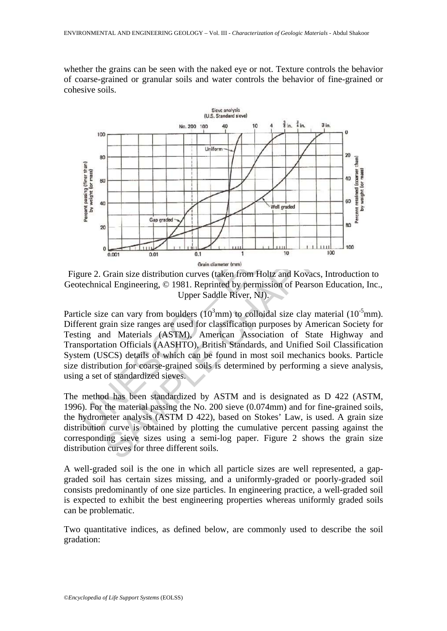whether the grains can be seen with the naked eye or not. Texture controls the behavior of coarse-grained or granular soils and water controls the behavior of fine-grained or cohesive soils.



Figure 2. Grain size distribution curves (taken from Holtz and Kovacs, Introduction to Geotechnical Engineering, © 1981. Reprinted by permission of Pearson Education, Inc., Upper Saddle River, NJ).

Particle size can vary from boulders ( $10<sup>3</sup>$ mm) to colloidal size clay material ( $10<sup>-5</sup>$ mm). Different grain size ranges are used for classification purposes by American Society for Testing and Materials (ASTM), American Association of State Highway and Transportation Officials (AASHTO), British Standards, and Unified Soil Classification System (USCS) details of which can be found in most soil mechanics books. Particle size distribution for coarse-grained soils is determined by performing a sieve analysis, using a set of standardized sieves.

The method has been standardized by ASTM and is designated as D 422 (ASTM, 1996). For the material passing the No. 200 sieve (0.074mm) and for fine-grained soils, the hydrometer analysis (ASTM D 422), based on Stokes' Law, is used. A grain size distribution curve is obtained by plotting the cumulative percent passing against the corresponding sieve sizes using a semi-log paper. Figure 2 shows the grain size distribution curves for three different soils.

A well-graded soil is the one in which all particle sizes are well represented, a gapgraded soil has certain sizes missing, and a uniformly-graded or poorly-graded soil consists predominantly of one size particles. In engineering practice, a well-graded soil is expected to exhibit the best engineering properties whereas uniformly graded soils can be problematic.

Two quantitative indices, as defined below, are commonly used to describe the soil gradation: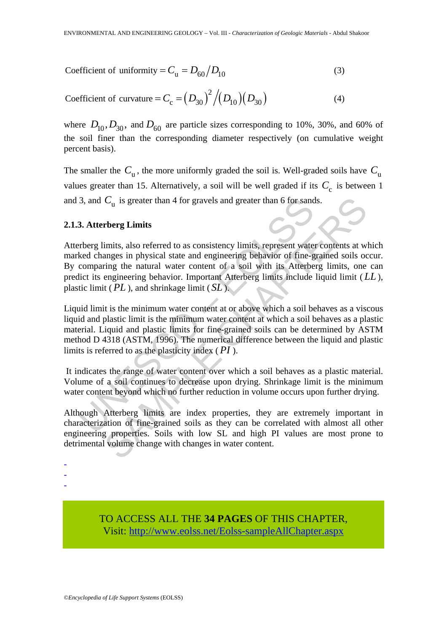Coefficient of uniformity = 
$$
C_{\rm u} = D_{60} / D_{10}
$$
 (3)

Coefficient of curvature = 
$$
C_c = (D_{30})^2 / (D_{10})(D_{30})
$$
 (4)

where  $D_{10}$ ,  $D_{30}$ , and  $D_{60}$  are particle sizes corresponding to 10%, 30%, and 60% of the soil finer than the corresponding diameter respectively (on cumulative weight percent basis).

The smaller the  $C_{\rm u}$ , the more uniformly graded the soil is. Well-graded soils have  $C_{\rm u}$ values greater than 15. Alternatively, a soil will be well graded if its  $C_c$  is between 1 and 3, and  $C_{\text{u}}$  is greater than 4 for gravels and greater than 6 for sands.

## **2.1.3. Atterberg Limits**

3, and  $C_u$  is greater than 4 for gravels and greater than 6 for sand<br>3. Atterberg Limits<br>3. Atterberg Limits<br>rberg limits, also referred to as consistency limits, represent wate<br>ked changes in physical state and engineer  $C_u$  is greater than 4 for gravels and greater than 6 for sands.<br> **Chapter** Limits<br>
imits, also referred to as consistency limits, represent water contents at w<br>
amges in physical state and engineering behavior of fine-gr Atterberg limits, also referred to as consistency limits, represent water contents at which marked changes in physical state and engineering behavior of fine-grained soils occur. By comparing the natural water content of a soil with its Atterberg limits, one can predict its engineering behavior. Important Atterberg limits include liquid limit ( *LL* ), plastic limit ( *PL* ), and shrinkage limit ( *SL* ).

Liquid limit is the minimum water content at or above which a soil behaves as a viscous liquid and plastic limit is the minimum water content at which a soil behaves as a plastic material. Liquid and plastic limits for fine-grained soils can be determined by ASTM method D 4318 (ASTM, 1996). The numerical difference between the liquid and plastic limits is referred to as the plasticity index ( *PI* ).

 It indicates the range of water content over which a soil behaves as a plastic material. Volume of a soil continues to decrease upon drying. Shrinkage limit is the minimum water content beyond which no further reduction in volume occurs upon further drying.

Although Atterberg limits are index properties, they are extremely important in characterization of fine-grained soils as they can be correlated with almost all other engineering properties. Soils with low SL and high PI values are most prone to detrimental volume change with changes in water content.

- -
- -
- -

TO ACCESS ALL THE **34 PAGES** OF THIS CHAPTER, Visit[: http://www.eolss.net/Eolss-sampleAllChapter.aspx](https://www.eolss.net/ebooklib/sc_cart.aspx?File=E6-65-03-01)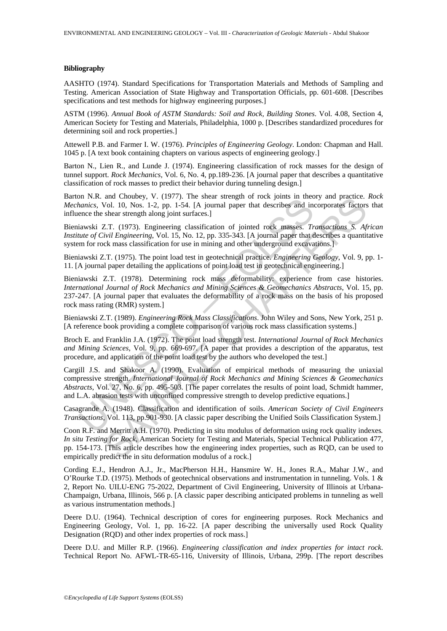#### **Bibliography**

AASHTO (1974). Standard Specifications for Transportation Materials and Methods of Sampling and Testing. American Association of State Highway and Transportation Officials, pp. 601-608. [Describes specifications and test methods for highway engineering purposes.]

ASTM (1996). *Annual Book of ASTM Standards: Soil and Rock, Building Stones*. Vol. 4.08, Section 4, American Society for Testing and Materials, Philadelphia, 1000 p. [Describes standardized procedures for determining soil and rock properties.]

Attewell P.B. and Farmer I. W. (1976). *Principles of Engineering Geology*. London: Chapman and Hall. 1045 p. [A text book containing chapters on various aspects of engineering geology.]

Barton N., Lien R., and Lunde J. (1974). Engineering classification of rock masses for the design of tunnel support. *Rock Mechanics*, Vol. 6, No. 4, pp.189-236. [A journal paper that describes a quantitative classification of rock masses to predict their behavior during tunneling design.]

Barton N.R. and Choubey, V. (1977). The shear strength of rock joints in theory and practice. *Rock Mechanics*, Vol. 10, Nos. 1-2, pp. 1-54. [A journal paper that describes and incorporates factors that influence the shear strength along joint surfaces.]

Bieniawski Z.T. (1973). Engineering classification of jointed rock masses. *Transactions S. African Institute of Civil Engineering*, Vol. 15, No. 12, pp. 335-343. [A journal paper that describes a quantitative system for rock mass classification for use in mining and other underground excavations.]

Bieniawski Z.T. (1975). The point load test in geotechnical practice. *Engineering Geology*, Vol. 9, pp. 1- 11. [A journal paper detailing the applications of point load test in geotechnical engineering.]

Bieniawski Z.T. (1978). Determining rock mass deformability: experience from case histories. *International Journal of Rock Mechanics and Mining Sciences & Geomechanics Abstracts*, Vol. 15, pp. 237-247. [A journal paper that evaluates the deformability of a rock mass on the basis of his proposed rock mass rating (RMR) system.]

Bieniawski Z.T. (1989). *Engineering Rock Mass Classifications*. John Wiley and Sons, New York, 251 p. [A reference book providing a complete comparison of various rock mass classification systems.]

Broch E. and Franklin J.A. (1972). The point load strength test. *International Journal of Rock Mechanics and Mining Sciences*, Vol. 9, pp. 669-697. [A paper that provides a description of the apparatus, test procedure, and application of the point load test by the authors who developed the test.]

In two. and Choosey, v. (1971). The slical suching the local particles and interiors, Vol. 10, Nos. 1-2, pp. 1-54. [A journal paper that describes and incomete the shear strength along joint surfaces.]<br>iawski Z.T. (1973). and Cholomy, v. (1977). The spher strength or rock joints in theory<br>facture.<br>Follom Hydro LD, Nos. 1-2, pp. 1-54. [A journal paper that describes and incorporates factors<br>then strength along joint surfaces.]<br>L.T. (1975). Cargill J.S. and Shakoor A. (1990). Evaluation of empirical methods of measuring the uniaxial compressive strength. *International Journal of Rock Mechanics and Mining Sciences & Geomechanics Abstracts*, Vol. 27, No. 6, pp. 495-503. [The paper correlates the results of point load, Schmidt hammer, and L.A. abrasion tests with unconfined compressive strength to develop predictive equations.]

Casagrande A. (1948). Classification and identification of soils. *American Society of Civil Engineers Transactions*, Vol. 113, pp.901-930. [A classic paper describing the Unified Soils Classification System.]

Coon R.F. and Merritt A.H. (1970). Predicting in situ modulus of deformation using rock quality indexes*. In situ Testing for Rock*, American Society for Testing and Materials, Special Technical Publication 477, pp. 154-173. [This article describes how the engineering index properties, such as RQD, can be used to empirically predict the in situ deformation modulus of a rock.]

Cording E.J., Hendron A.J., Jr., MacPherson H.H., Hansmire W. H., Jones R.A., Mahar J.W., and O'Rourke T.D. (1975). Methods of geotechnical observations and instrumentation in tunneling. Vols. 1 & 2, Report No. UILU-ENG 75-2022, Department of Civil Engineering, University of Illinois at Urbana-Champaign, Urbana, Illinois, 566 p. [A classic paper describing anticipated problems in tunneling as well as various instrumentation methods.]

Deere D.U. (1964). Technical description of cores for engineering purposes. Rock Mechanics and Engineering Geology, Vol. 1, pp. 16-22. [A paper describing the universally used Rock Quality Designation (RQD) and other index properties of rock mass.]

Deere D.U. and Miller R.P. (1966). *Engineering classification and index properties for intact rock*. Technical Report No. AFWL-TR-65-116, University of Illinois, Urbana, 299p. [The report describes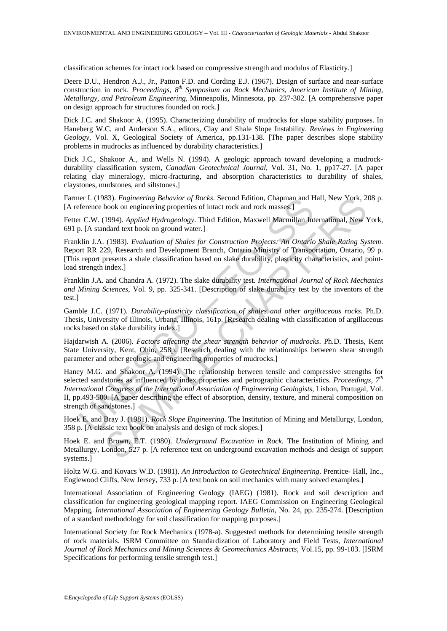classification schemes for intact rock based on compressive strength and modulus of Elasticity.]

Deere D.U., Hendron A.J., Jr., Patton F.D. and Cording E.J. (1967). Design of surface and near-surface construction in rock. *Proceedings, 8th Symposium on Rock Mechanics, American Institute of Mining*, *Metallurgy, and Petroleum Engineering,* Minneapolis, Minnesota, pp. 237-302. [A comprehensive paper on design approach for structures founded on rock.]

Dick J.C. and Shakoor A. (1995). Characterizing durability of mudrocks for slope stability purposes. In Haneberg W.C. and Anderson S.A., editors, Clay and Shale Slope Instability. *Reviews in Engineering Geology*, Vol. X, Geological Society of America, pp.131-138. [The paper describes slope stability problems in mudrocks as influenced by durability characteristics.]

Dick J.C., Shakoor A., and Wells N. (1994). A geologic approach toward developing a mudrockdurability classification system, *Canadian Geotechnical Journal*, Vol. 31, No. 1, pp17-27. [A paper relating clay mineralogy, micro-fracturing, and absorption characteristics to durability of shales, claystones, mudstones, and siltstones.]

Farmer I. (1983). *Engineering Behavior of Rocks*. Second Edition, Chapman and Hall, New York, 208 p. [A reference book on engineering properties of intact rock and rock masses.]

Fetter C.W. (1994). *Applied Hydrogeology*. Third Edition, Maxwell Macmillan International, New York, 691 p. [A standard text book on ground water.]

Franklin J.A. (1983). *Evaluation of Shales for Construction Projects: An Ontario Shale Rating System*. Report RR 229, Research and Development Branch, Ontario Ministry of Transportation, Ontario, 99 p. [This report presents a shale classification based on slake durability, plasticity characteristics, and pointload strength index.

Franklin J.A. and Chandra A. (1972). The slake durability test. *International Journal of Rock Mechanics and Mining Sciences*, Vol. 9, pp. 325-341. [Description of slake durability test by the inventors of the test.]

Gamble J.C. (1971). *Durability-plasticity classification of shales and other argillaceous rocks*. Ph.D. Thesis, University of Illinois, Urbana, Illinois, 161p. [Research dealing with classification of argillaceous rocks based on slake durability index.]

Hajdarwish A. (2006). *Factors affecting the shear strength behavior of mudrocks*. Ph.D. Thesis, Kent State University, Kent, Ohio, 258p. [Research dealing with the relationships between shear strength parameter and other geologic and engineering properties of mudrocks.]

erence book on engineering properties of intact rock and rock masses.]<br>
feference book on enginering properties of intact rock and rock masses.]<br>
or C.W. (1994). Applied Hydrogeology. Third Edition, Maxwell Macmillan Int<br> MS3). *Engineering Behavior of Rocks.* Second Edition, Chapman and Hall, New York, 2<br>
Nook on engineering properties of intact rock and rock masses.]<br>
1994). *Applied Hydrogeology*. Third Edition, Maxwell Macmillan Interna Haney M.G. and Shakoor A. (1994). The relationship between tensile and compressive strengths for selected sandstones as influenced by index properties and petrographic characteristics. *Proceedings, 7th International Congress of the International Association of Engineering Geologists*, Lisbon, Portugal, Vol. II, pp.493-500. [A paper describing the effect of absorption, density, texture, and mineral composition on strength of sandstones.]

Hoek E. and Bray J. (1981). *Rock Slope Engineering*. The Institution of Mining and Metallurgy, London, 358 p. [A classic text book on analysis and design of rock slopes.]

Hoek E. and Brown, E.T. (1980). *Underground Excavation in Rock*. The Institution of Mining and Metallurgy, London, 527 p. [A reference text on underground excavation methods and design of support systems.]

Holtz W.G. and Kovacs W.D. (1981). *An Introduction to Geotechnical Engineering*. Prentice- Hall, Inc., Englewood Cliffs, New Jersey, 733 p. [A text book on soil mechanics with many solved examples.]

International Association of Engineering Geology (IAEG) (1981). Rock and soil description and classification for engineering geological mapping report. IAEG Commission on Engineering Geological Mapping, *International Association of Engineering Geology Bulletin*, No. 24, pp. 235-274. [Description of a standard methodology for soil classification for mapping purposes.]

International Society for Rock Mechanics (1978-a). Suggested methods for determining tensile strength of rock materials. ISRM Committee on Standardization of Laboratory and Field Tests, *International Journal of Rock Mechanics and Mining Sciences & Geomechanics Abstracts*, Vol.15, pp. 99-103. [ISRM Specifications for performing tensile strength test.]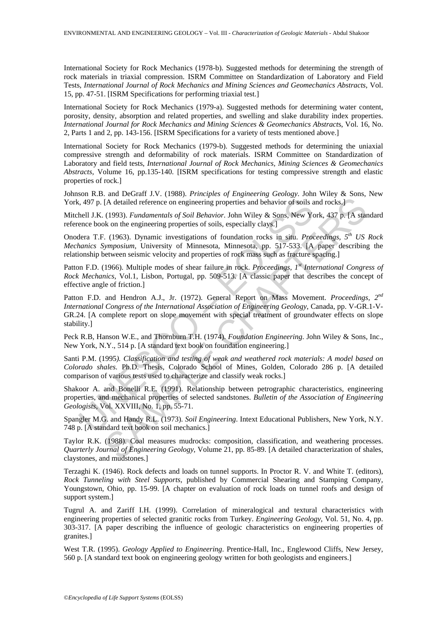International Society for Rock Mechanics (1978-b). Suggested methods for determining the strength of rock materials in triaxial compression. ISRM Committee on Standardization of Laboratory and Field Tests, *International Journal of Rock Mechanics and Mining Sciences and Geomechanics Abstracts*, Vol. 15, pp. 47-51. [ISRM Specifications for performing triaxial test.]

International Society for Rock Mechanics (1979-a). Suggested methods for determining water content, porosity, density, absorption and related properties, and swelling and slake durability index properties. *International Journal for Rock Mechanics and Mining Sciences & Geomechanics Abstract*s, Vol. 16, No. 2, Parts 1 and 2, pp. 143-156. [ISRM Specifications for a variety of tests mentioned above.]

International Society for Rock Mechanics (1979-b). Suggested methods for determining the uniaxial compressive strength and deformability of rock materials. ISRM Committee on Standardization of Laboratory and field tests, *International Journal of Rock Mechanics, Mining Sciences & Geomechanics Abstracts*, Volume 16, pp.135-140. [ISRM specifications for testing compressive strength and elastic properties of rock.]

Johnson R.B. and DeGraff J.V. (1988). *Principles of Engineering Geology*. John Wiley & Sons, New York, 497 p. [A detailed reference on engineering properties and behavior of soils and rocks.]

Mitchell J.K. (1993). *Fundamentals of Soil Behavior*. John Wiley & Sons, New York, 437 p. [A standard reference book on the engineering properties of soils, especially clays.]

Onodera T.F. (1963). Dynamic investigations of foundation rocks in situ. *Proceedings, 5th US Rock Mechanics Symposium*, University of Minnesota, Minnesota, pp. 517-533. [A paper describing the relationship between seismic velocity and properties of rock mass such as fracture spacing.]

Patton F.D. (1966). Multiple modes of shear failure in rock. *Proceedings, 1st International Congress of Rock Mechanics*, Vol.1, Lisbon, Portugal, pp. 509-513. [A classic paper that describes the concept of effective angle of friction.]

i, 497 p. [A detailed reference on engineering properties and behavior of soils a<br>hell J.K. (1993). *Fundamentals of Soil Behavior*. John Wiley & Sons, New Ye<br>ence book on the engineering properties of soils, especially cl [A detailed reference on engineering properties and behavior of soils and rocks.]<br>
(1993). *Fundamentals of Soil Behavior*. John Wiley & Sons, New York, 437 p. [A stat<br>
ko n the engineering properties of soils, especially Patton F.D. and Hendron A.J., Jr. (1972). General Report on Mass Movement. *Proceedings, 2nd International Congress of the International Association of Engineering Geology*, Canada, pp. V-GR.1-V-GR.24. [A complete report on slope movement with special treatment of groundwater effects on slope stability.]

Peck R.B, Hanson W.E., and Thornburn T.H. (1974). *Foundation Engineering*. John Wiley & Sons, Inc., New York, N.Y., 514 p. [A standard text book on foundation engineering.]

Santi P.M. (1995*). Classification and testing of weak and weathered rock materials: A model based on Colorado shales*. Ph.D. Thesis, Colorado School of Mines, Golden, Colorado 286 p. [A detailed comparison of various tests used to characterize and classify weak rocks.]

Shakoor A. and Bonelli R.E. (1991). Relationship between petrographic characteristics, engineering properties, and mechanical properties of selected sandstones. *Bulletin of the Association of Engineering Geologists*, Vol. XXVIII, No. 1, pp. 55-71.

Spangler M.G. and Handy R.L. (1973). *Soil Engineering*. Intext Educational Publishers, New York, N.Y. 748 p. [A standard text book on soil mechanics.]

Taylor R.K. (1988). Coal measures mudrocks: composition, classification, and weathering processes. *Quarterly Journal of Engineering Geology*, Volume 21, pp. 85-89. [A detailed characterization of shales, claystones, and mudstones.]

Terzaghi K. (1946). Rock defects and loads on tunnel supports. In Proctor R. V. and White T. (editors), *Rock Tunneling with Steel Supports*, published by Commercial Shearing and Stamping Company, Youngstown, Ohio, pp. 15-99. [A chapter on evaluation of rock loads on tunnel roofs and design of support system.]

Tugrul A. and Zariff I.H. (1999). Correlation of mineralogical and textural characteristics with engineering properties of selected granitic rocks from Turkey. *Engineering Geology*, Vol. 51, No. 4, pp. 303-317. [A paper describing the influence of geologic characteristics on engineering properties of granites.]

West T.R. (1995). *Geology Applied to Engineering*. Prentice-Hall, Inc., Englewood Cliffs, New Jersey, 560 p. [A standard text book on engineering geology written for both geologists and engineers.]